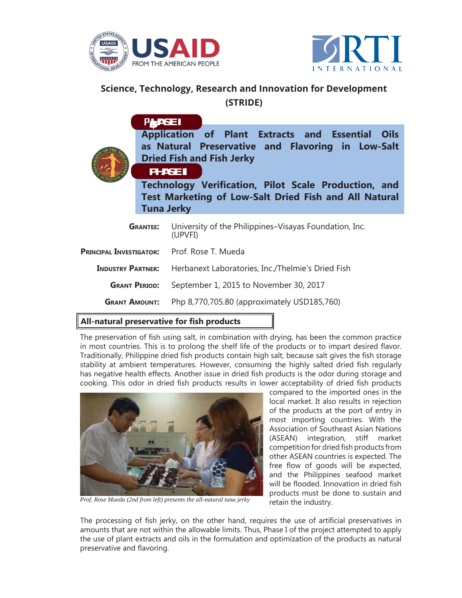



## **Science, Technology, Research and Innovation for Development (STRIDE)**

|                                             | <b>PHASE I</b><br><b>PHASE II</b><br><b>Tuna Jerky</b> | Application of Plant Extracts and Essential Oils<br>as Natural Preservative and Flavoring in Low-Salt<br><b>Dried Fish and Fish Jerky</b><br>Technology Verification, Pilot Scale Production, and<br>Test Marketing of Low-Salt Dried Fish and All Natural |
|---------------------------------------------|--------------------------------------------------------|------------------------------------------------------------------------------------------------------------------------------------------------------------------------------------------------------------------------------------------------------------|
| <b>GRANTEE:</b>                             |                                                        | University of the Philippines–Visayas Foundation, Inc.<br>(UPVFI)                                                                                                                                                                                          |
| PRINCIPAL INVESTIGATOR: Prof. Rose T. Mueda |                                                        |                                                                                                                                                                                                                                                            |
| <b>INDUSTRY PARTNER:</b>                    |                                                        | Herbanext Laboratories, Inc./Thelmie's Dried Fish                                                                                                                                                                                                          |
| <b>GRANT PERIOD:</b>                        |                                                        | September 1, 2015 to November 30, 2017                                                                                                                                                                                                                     |
| <b>GRANT AMOUNT:</b>                        |                                                        | Php 8,770,705.80 (approximately USD185,760)                                                                                                                                                                                                                |

## **All-natural preservative for fish products**

The preservation of fish using salt, in combination with drying, has been the common practice in most countries. This is to prolong the shelf life of the products or to impart desired flavor. Traditionally, Philippine dried fish products contain high salt, because salt gives the fish storage stability at ambient temperatures. However, consuming the highly salted dried fish regularly has negative health effects. Another issue in dried fish products is the odor during storage and cooking. This odor in dried fish products results in lower acceptability of dried fish products



*Prof. Rose Mueda (2nd from left) presents the all-natural tuna jerky*

compared to the imported ones in the local market. It also results in rejection of the products at the port of entry in most importing countries. With the Association of Southeast Asian Nations (ASEAN) integration, stiff market competition for dried fish products from other ASEAN countries is expected. The free flow of goods will be expected, and the Philippines seafood market will be flooded. Innovation in dried fish products must be done to sustain and retain the industry.

The processing of fish jerky, on the other hand, requires the use of artificial preservatives in amounts that are not within the allowable limits. Thus, Phase I of the project attempted to apply the use of plant extracts and oils in the formulation and optimization of the products as natural preservative and flavoring.